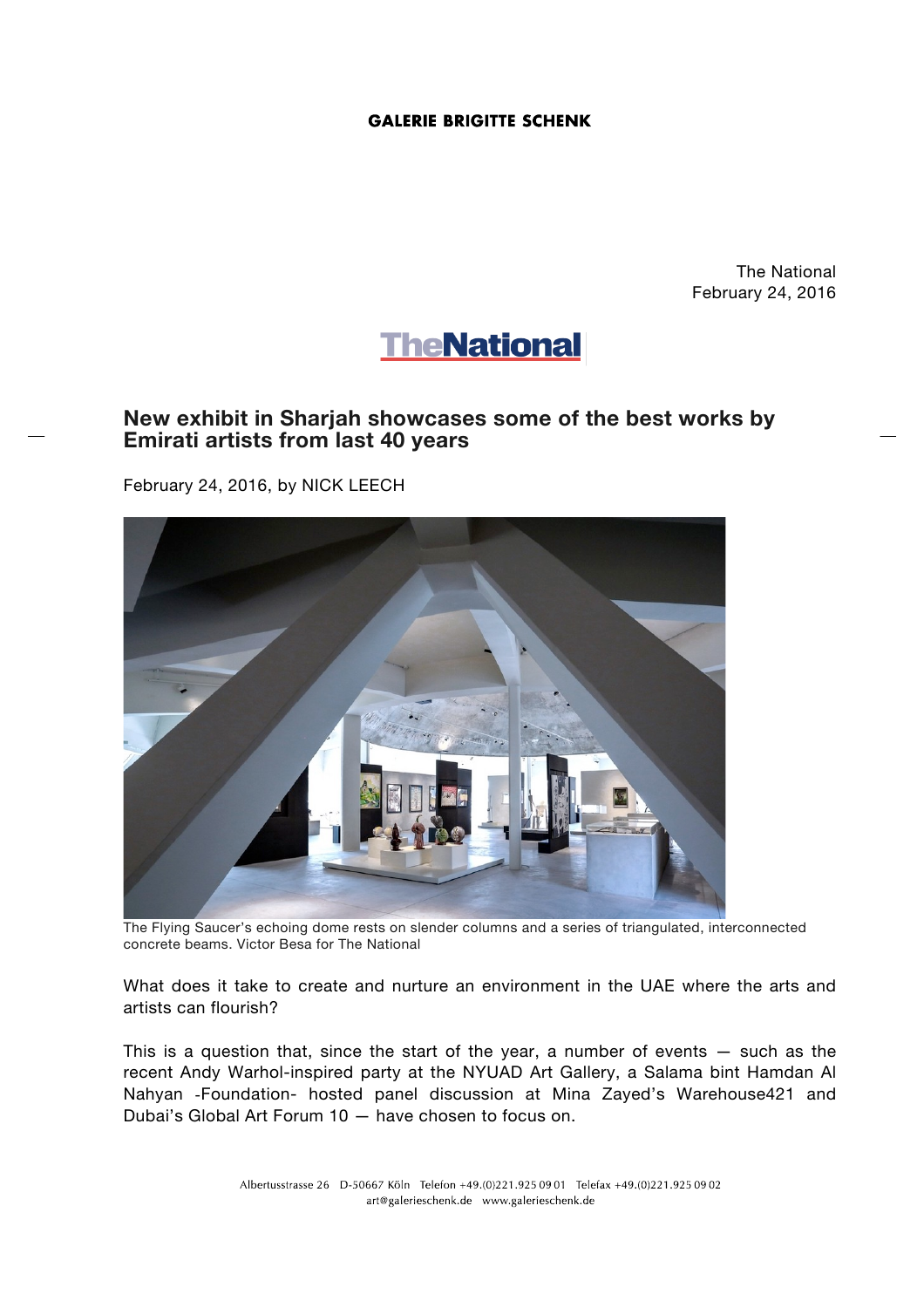## **GALERIE BRIGITTE SCHENK**

The National February 24, 2016



## **New exhibit in Sharjah showcases some of the best works by Emirati artists from last 40 years**

February 24, 2016, by NICK LEECH



The Flying Saucer's echoing dome rests on slender columns and a series of triangulated, interconnected concrete beams. Victor Besa for The National

What does it take to create and nurture an environment in the UAE where the arts and artists can flourish?

This is a question that, since the start of the year, a number of events — such as the recent Andy Warhol-inspired party at the NYUAD Art Gallery, a Salama bint Hamdan Al Nahyan -Foundation- hosted panel discussion at Mina Zayed's Warehouse421 and Dubai's Global Art Forum 10 — have chosen to focus on.